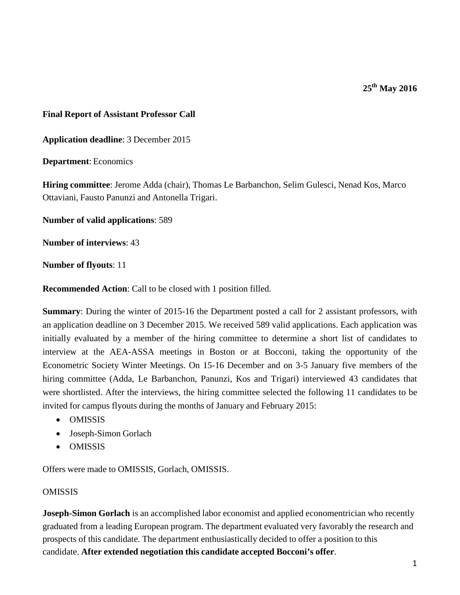**25th May 2016**

## **Final Report of Assistant Professor Call**

**Application deadline**: 3 December 2015

**Department**: Economics

**Hiring committee**: Jerome Adda (chair), Thomas Le Barbanchon, Selim Gulesci, Nenad Kos, Marco Ottaviani, Fausto Panunzi and Antonella Trigari.

**Number of valid applications**: 589

**Number of interviews**: 43

**Number of flyouts**: 11

**Recommended Action**: Call to be closed with 1 position filled.

**Summary**: During the winter of 2015-16 the Department posted a call for 2 assistant professors, with an application deadline on 3 December 2015. We received 589 valid applications. Each application was initially evaluated by a member of the hiring committee to determine a short list of candidates to interview at the AEA-ASSA meetings in Boston or at Bocconi, taking the opportunity of the Econometric Society Winter Meetings. On 15-16 December and on 3-5 January five members of the hiring committee (Adda, Le Barbanchon, Panunzi, Kos and Trigari) interviewed 43 candidates that were shortlisted. After the interviews, the hiring committee selected the following 11 candidates to be invited for campus flyouts during the months of January and February 2015:

- OMISSIS
- Joseph-Simon Gorlach
- OMISSIS

Offers were made to OMISSIS, Gorlach, OMISSIS.

## OMISSIS

**Joseph-Simon Gorlach** is an accomplished labor economist and applied economentrician who recently graduated from a leading European program. The department evaluated very favorably the research and prospects of this candidate. The department enthusiastically decided to offer a position to this candidate. **After extended negotiation this candidate accepted Bocconi's offer**.